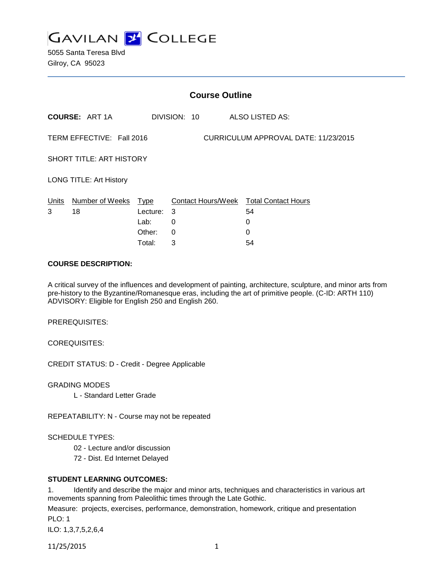

5055 Santa Teresa Blvd Gilroy, CA 95023

| <b>Course Outline</b>                                             |                       |          |   |              |  |                                        |
|-------------------------------------------------------------------|-----------------------|----------|---|--------------|--|----------------------------------------|
|                                                                   | <b>COURSE: ART 1A</b> |          |   | DIVISION: 10 |  | ALSO LISTED AS:                        |
| CURRICULUM APPROVAL DATE: 11/23/2015<br>TERM EFFECTIVE: Fall 2016 |                       |          |   |              |  |                                        |
| SHORT TITLE: ART HISTORY                                          |                       |          |   |              |  |                                        |
| <b>LONG TITLE: Art History</b>                                    |                       |          |   |              |  |                                        |
| Units                                                             | Number of Weeks Type  |          |   |              |  | Contact Hours/Week Total Contact Hours |
| 3                                                                 | 18                    | Lecture: | 3 |              |  | 54                                     |
|                                                                   |                       | Lab:     | 0 |              |  | 0                                      |
|                                                                   |                       | Other:   | 0 |              |  | 0                                      |
|                                                                   |                       | Total:   | 3 |              |  | 54                                     |

### **COURSE DESCRIPTION:**

A critical survey of the influences and development of painting, architecture, sculpture, and minor arts from pre-history to the Byzantine/Romanesque eras, including the art of primitive people. (C-ID: ARTH 110) ADVISORY: Eligible for English 250 and English 260.

PREREQUISITES:

COREQUISITES:

CREDIT STATUS: D - Credit - Degree Applicable

GRADING MODES

L - Standard Letter Grade

REPEATABILITY: N - Course may not be repeated

### SCHEDULE TYPES:

- 02 Lecture and/or discussion
- 72 Dist. Ed Internet Delayed

#### **STUDENT LEARNING OUTCOMES:**

1. Identify and describe the major and minor arts, techniques and characteristics in various art movements spanning from Paleolithic times through the Late Gothic.

Measure: projects, exercises, performance, demonstration, homework, critique and presentation PLO: 1

ILO: 1,3,7,5,2,6,4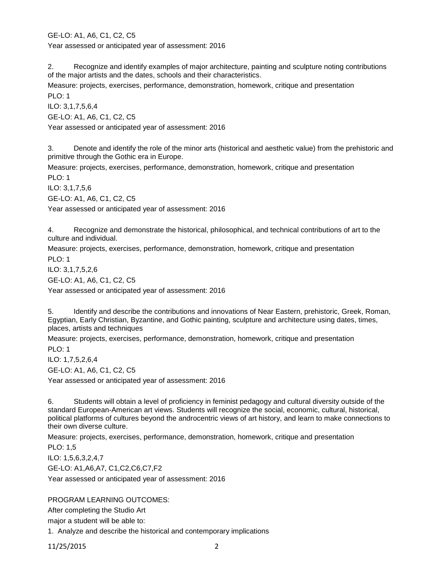GE-LO: A1, A6, C1, C2, C5 Year assessed or anticipated year of assessment: 2016

2. Recognize and identify examples of major architecture, painting and sculpture noting contributions of the major artists and the dates, schools and their characteristics.

Measure: projects, exercises, performance, demonstration, homework, critique and presentation PLO: 1

ILO: 3,1,7,5,6,4

GE-LO: A1, A6, C1, C2, C5

Year assessed or anticipated year of assessment: 2016

3. Denote and identify the role of the minor arts (historical and aesthetic value) from the prehistoric and primitive through the Gothic era in Europe.

Measure: projects, exercises, performance, demonstration, homework, critique and presentation PLO: 1

ILO: 3,1,7,5,6

GE-LO: A1, A6, C1, C2, C5

Year assessed or anticipated year of assessment: 2016

4. Recognize and demonstrate the historical, philosophical, and technical contributions of art to the culture and individual.

Measure: projects, exercises, performance, demonstration, homework, critique and presentation PLO: 1

ILO: 3,1,7,5,2,6 GE-LO: A1, A6, C1, C2, C5 Year assessed or anticipated year of assessment: 2016

5. Identify and describe the contributions and innovations of Near Eastern, prehistoric, Greek, Roman, Egyptian, Early Christian, Byzantine, and Gothic painting, sculpture and architecture using dates, times, places, artists and techniques

Measure: projects, exercises, performance, demonstration, homework, critique and presentation PLO: 1

ILO: 1,7,5,2,6,4

GE-LO: A1, A6, C1, C2, C5

Year assessed or anticipated year of assessment: 2016

6. Students will obtain a level of proficiency in feminist pedagogy and cultural diversity outside of the standard European-American art views. Students will recognize the social, economic, cultural, historical, political platforms of cultures beyond the androcentric views of art history, and learn to make connections to their own diverse culture.

Measure: projects, exercises, performance, demonstration, homework, critique and presentation

PLO: 1,5

ILO: 1,5,6,3,2,4,7 GE-LO: A1,A6,A7, C1,C2,C6,C7,F2

Year assessed or anticipated year of assessment: 2016

# PROGRAM LEARNING OUTCOMES:

After completing the Studio Art

major a student will be able to:

1. Analyze and describe the historical and contemporary implications

11/25/2015 2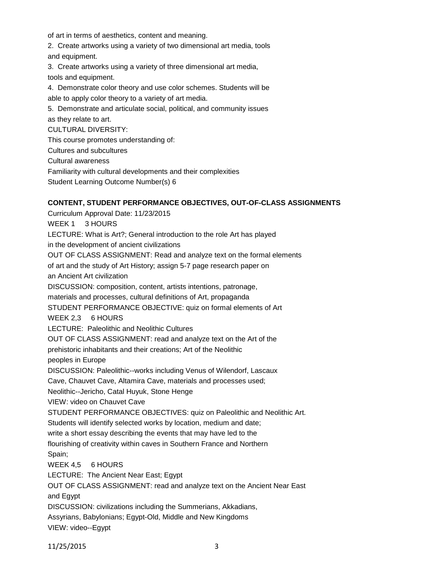of art in terms of aesthetics, content and meaning.

2. Create artworks using a variety of two dimensional art media, tools and equipment.

3. Create artworks using a variety of three dimensional art media, tools and equipment.

4. Demonstrate color theory and use color schemes. Students will be able to apply color theory to a variety of art media.

5. Demonstrate and articulate social, political, and community issues as they relate to art.

CULTURAL DIVERSITY:

This course promotes understanding of:

Cultures and subcultures

Cultural awareness

Familiarity with cultural developments and their complexities

Student Learning Outcome Number(s) 6

## **CONTENT, STUDENT PERFORMANCE OBJECTIVES, OUT-OF-CLASS ASSIGNMENTS**

Curriculum Approval Date: 11/23/2015 WEEK 1 3 HOURS LECTURE: What is Art?; General introduction to the role Art has played in the development of ancient civilizations OUT OF CLASS ASSIGNMENT: Read and analyze text on the formal elements of art and the study of Art History; assign 5-7 page research paper on an Ancient Art civilization DISCUSSION: composition, content, artists intentions, patronage, materials and processes, cultural definitions of Art, propaganda STUDENT PERFORMANCE OBJECTIVE: quiz on formal elements of Art WEEK 2,3 6 HOURS LECTURE: Paleolithic and Neolithic Cultures OUT OF CLASS ASSIGNMENT: read and analyze text on the Art of the prehistoric inhabitants and their creations; Art of the Neolithic peoples in Europe DISCUSSION: Paleolithic--works including Venus of Wilendorf, Lascaux Cave, Chauvet Cave, Altamira Cave, materials and processes used; Neolithic--Jericho, Catal Huyuk, Stone Henge VIEW: video on Chauvet Cave STUDENT PERFORMANCE OBJECTIVES: quiz on Paleolithic and Neolithic Art. Students will identify selected works by location, medium and date; write a short essay describing the events that may have led to the flourishing of creativity within caves in Southern France and Northern Spain; WEEK 4,5 6 HOURS LECTURE: The Ancient Near East; Egypt OUT OF CLASS ASSIGNMENT: read and analyze text on the Ancient Near East and Egypt DISCUSSION: civilizations including the Summerians, Akkadians, Assyrians, Babylonians; Egypt-Old, Middle and New Kingdoms VIEW: video--Egypt

11/25/2015 3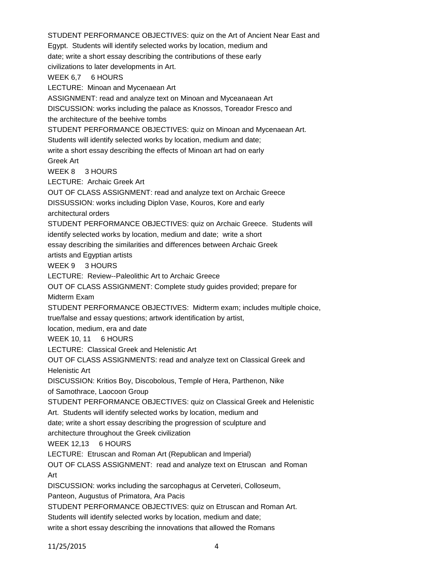STUDENT PERFORMANCE OBJECTIVES: quiz on the Art of Ancient Near East and Egypt. Students will identify selected works by location, medium and date; write a short essay describing the contributions of these early civilizations to later developments in Art. WEEK 6,7 6 HOURS LECTURE: Minoan and Mycenaean Art ASSIGNMENT: read and analyze text on Minoan and Myceanaean Art DISCUSSION: works including the palace as Knossos, Toreador Fresco and the architecture of the beehive tombs STUDENT PERFORMANCE OBJECTIVES: quiz on Minoan and Mycenaean Art. Students will identify selected works by location, medium and date; write a short essay describing the effects of Minoan art had on early Greek Art WEEK 8 3 HOURS LECTURE: Archaic Greek Art OUT OF CLASS ASSIGNMENT: read and analyze text on Archaic Greece DISSUSSION: works including Diplon Vase, Kouros, Kore and early architectural orders STUDENT PERFORMANCE OBJECTIVES: quiz on Archaic Greece. Students will identify selected works by location, medium and date; write a short essay describing the similarities and differences between Archaic Greek artists and Egyptian artists WEEK 9 3 HOURS LECTURE: Review--Paleolithic Art to Archaic Greece OUT OF CLASS ASSIGNMENT: Complete study guides provided; prepare for Midterm Exam STUDENT PERFORMANCE OBJECTIVES: Midterm exam; includes multiple choice, true/false and essay questions; artwork identification by artist, location, medium, era and date WEEK 10, 11 6 HOURS LECTURE: Classical Greek and Helenistic Art OUT OF CLASS ASSIGNMENTS: read and analyze text on Classical Greek and Helenistic Art DISCUSSION: Kritios Boy, Discobolous, Temple of Hera, Parthenon, Nike of Samothrace, Laocoon Group STUDENT PERFORMANCE OBJECTIVES: quiz on Classical Greek and Helenistic Art. Students will identify selected works by location, medium and date; write a short essay describing the progression of sculpture and architecture throughout the Greek civilization WEEK 12.13 6 HOURS LECTURE: Etruscan and Roman Art (Republican and Imperial) OUT OF CLASS ASSIGNMENT: read and analyze text on Etruscan and Roman Art DISCUSSION: works including the sarcophagus at Cerveteri, Colloseum, Panteon, Augustus of Primatora, Ara Pacis STUDENT PERFORMANCE OBJECTIVES: quiz on Etruscan and Roman Art. Students will identify selected works by location, medium and date; write a short essay describing the innovations that allowed the Romans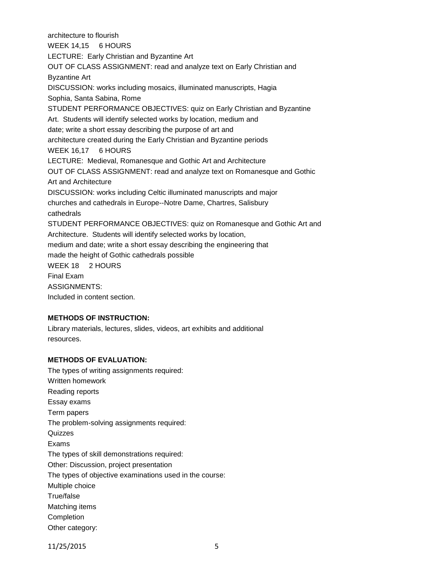architecture to flourish WEEK 14,15 6 HOURS LECTURE: Early Christian and Byzantine Art OUT OF CLASS ASSIGNMENT: read and analyze text on Early Christian and Byzantine Art DISCUSSION: works including mosaics, illuminated manuscripts, Hagia Sophia, Santa Sabina, Rome STUDENT PERFORMANCE OBJECTIVES: quiz on Early Christian and Byzantine Art. Students will identify selected works by location, medium and date; write a short essay describing the purpose of art and architecture created during the Early Christian and Byzantine periods WEEK 16,17 6 HOURS LECTURE: Medieval, Romanesque and Gothic Art and Architecture OUT OF CLASS ASSIGNMENT: read and analyze text on Romanesque and Gothic Art and Architecture DISCUSSION: works including Celtic illuminated manuscripts and major churches and cathedrals in Europe--Notre Dame, Chartres, Salisbury cathedrals STUDENT PERFORMANCE OBJECTIVES: quiz on Romanesque and Gothic Art and Architecture. Students will identify selected works by location, medium and date; write a short essay describing the engineering that made the height of Gothic cathedrals possible WEEK 18 2 HOURS Final Exam ASSIGNMENTS: Included in content section.

# **METHODS OF INSTRUCTION:**

Library materials, lectures, slides, videos, art exhibits and additional resources.

## **METHODS OF EVALUATION:**

The types of writing assignments required: Written homework Reading reports Essay exams Term papers The problem-solving assignments required: **Quizzes** Exams The types of skill demonstrations required: Other: Discussion, project presentation The types of objective examinations used in the course: Multiple choice True/false Matching items **Completion** Other category: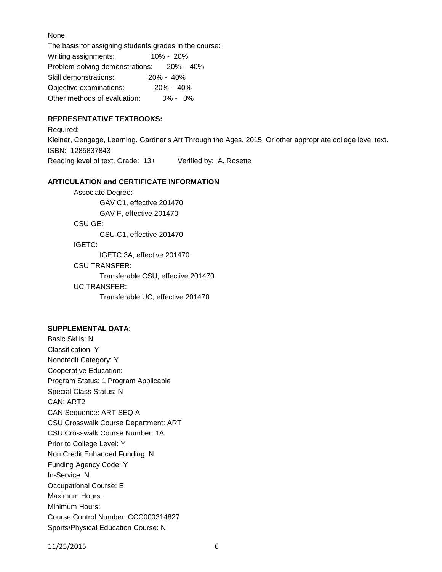None

The basis for assigning students grades in the course: Writing assignments: 10% - 20% Problem-solving demonstrations: 20% - 40% Skill demonstrations: 20% - 40% Objective examinations: 20% - 40% Other methods of evaluation: 0% - 0%

## **REPRESENTATIVE TEXTBOOKS:**

Required: Kleiner, Cengage, Learning. Gardner's Art Through the Ages. 2015. Or other appropriate college level text. ISBN: 1285837843 Reading level of text, Grade: 13+ Verified by: A. Rosette

## **ARTICULATION and CERTIFICATE INFORMATION**

Associate Degree: GAV C1, effective 201470 GAV F, effective 201470 CSU GE: CSU C1, effective 201470 IGETC: IGETC 3A, effective 201470 CSU TRANSFER: Transferable CSU, effective 201470 UC TRANSFER: Transferable UC, effective 201470

#### **SUPPLEMENTAL DATA:**

Basic Skills: N Classification: Y Noncredit Category: Y Cooperative Education: Program Status: 1 Program Applicable Special Class Status: N CAN: ART2 CAN Sequence: ART SEQ A CSU Crosswalk Course Department: ART CSU Crosswalk Course Number: 1A Prior to College Level: Y Non Credit Enhanced Funding: N Funding Agency Code: Y In-Service: N Occupational Course: E Maximum Hours: Minimum Hours: Course Control Number: CCC000314827 Sports/Physical Education Course: N

11/25/2015 6